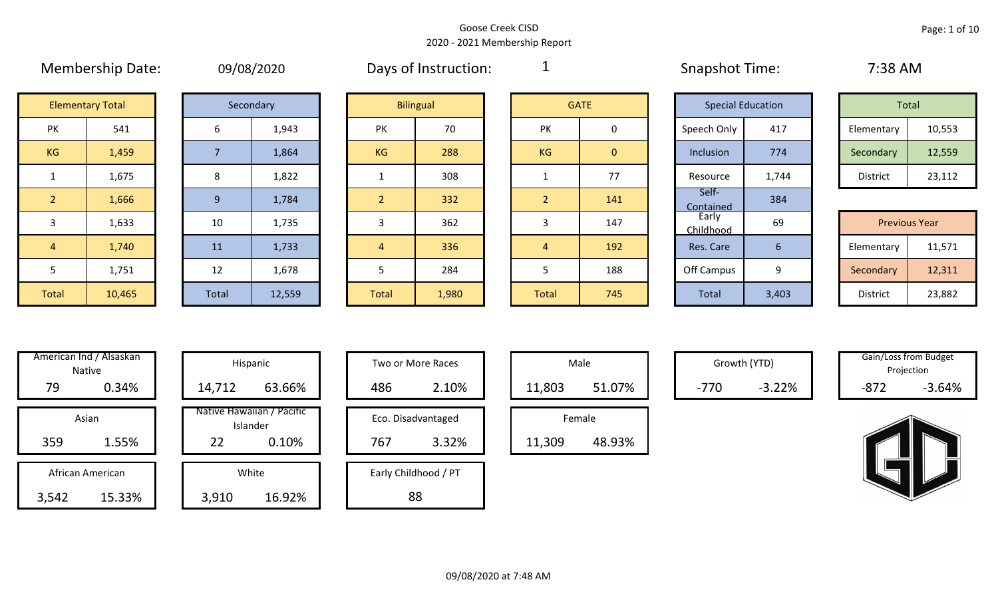|                | <b>INICITIVEISIIID DATE.</b> |                | U3/UO/ZUZU |                | Days UI IIISU UCUUII. | <u>.</u>       |              | <b>JURNATIOL TITLE.</b>  |       | $1.50$ AIVI          |        |
|----------------|------------------------------|----------------|------------|----------------|-----------------------|----------------|--------------|--------------------------|-------|----------------------|--------|
|                | <b>Elementary Total</b>      |                | Secondary  |                | <b>Bilingual</b>      |                | <b>GATE</b>  | <b>Special Education</b> |       | Total                |        |
| PK             | 541                          | 6              | 1,943      | PK             | 70                    | PK             | 0            | Speech Only              | 417   | Elementary           | 10,553 |
| KG             | 1,459                        |                | 1,864      | KG             | 288                   | KG             | $\mathbf{0}$ | Inclusion                | 774   | Secondary            | 12,559 |
| $\mathbf{1}$   | 1,675                        | 8              | 1,822      |                | 308                   |                | 77           | Resource                 | 1,744 | District             | 23,112 |
| 2 <sup>1</sup> | 1,666                        | $\overline{9}$ | 1,784      | $\overline{2}$ | 332                   | 2 <sup>1</sup> | 141          | Self-<br>Contained       | 384   |                      |        |
| 3              | 1,633                        | 10             | 1,735      | 3              | 362                   | 3              | 147          | Early<br>Childhood       | 69    | <b>Previous Year</b> |        |
| $\overline{4}$ | 1,740                        | 11             | 1,733      | $\sqrt{4}$     | 336                   | $\overline{4}$ | 192          | Res. Care                | 6     | Elementary           | 11,571 |
| 5              | 1,751                        | 12             | 1,678      | כ              | 284                   | 5              | 188          | Off Campus               | 9     | Secondary            | 12,311 |
| Total          | 10,465                       | Total          | 12,559     | <b>Total</b>   | 1,980                 | Total          | 745          | Total                    | 3,403 | District             | 23,882 |

| 09/08/2020 |  |  |
|------------|--|--|
|            |  |  |

Membership Date: 09/08/2020 Snapshot Time: 7:38 AM Days of Instruction:

1

|                      | <b>Elementary Total</b> |  | Secondary |    | <b>Bilingual</b> |           | <b>GATE</b> |             | <b>Special Education</b> | Total      |        |
|----------------------|-------------------------|--|-----------|----|------------------|-----------|-------------|-------------|--------------------------|------------|--------|
| ∕ו ר<br>$\mathbf{N}$ | 541                     |  | 1,943     | PK | 70               | PK        |             | Speech Only | 417                      | Elementary | 10,553 |
| G                    | 1,459                   |  | 1,864     | KG | 288              | <b>KG</b> | 0           | Inclusion   | 774                      | Secondary  | 12,559 |
|                      | 1,675                   |  | 1,822     |    | 308              |           | 77          | Resource    | 1,744                    | District   | 23,112 |

|                 | <b>Previous Year</b> |
|-----------------|----------------------|
| Elementary      | 11,571               |
| Secondary       | 12,311               |
| <b>District</b> | 23,882               |

| Hispani                    | American Ind / Alsaskan<br><b>Native</b> |       |
|----------------------------|------------------------------------------|-------|
| 14,712                     | 0.34%                                    | 79    |
| Native Hawaiiar<br>Islande | Asian                                    |       |
| 22                         | 1.55%                                    | 359   |
| White                      | African American                         |       |
| 3,910                      | 15.33%                                   | 3,542 |

| villeridan inu 7 Alsaskan I<br>Native | Hispanic                              | Two or More Races    | Male             | Growth (YTD)       | Gain/Loss from Budget<br>Projection |
|---------------------------------------|---------------------------------------|----------------------|------------------|--------------------|-------------------------------------|
| 79<br>0.34%                           | 63.66%<br>14,712                      | 486<br>2.10%         | 51.07%<br>11,803 | $-3.22%$<br>$-770$ | $-872$<br>$-3.64%$                  |
| Asian                                 | Native Hawaiian / Pacific<br>Islander | Eco. Disadvantaged   | Female           |                    |                                     |
| 359<br>1.55%                          | 22<br>0.10%                           | 3.32%<br>767         | 48.93%<br>11,309 |                    |                                     |
| African American                      | White                                 | Early Childhood / PT |                  |                    |                                     |
| 15.33%<br>3,542                       | 16.92%<br>3,910                       | 88                   |                  |                    |                                     |

| Hispanic                       |     | Two or More Races    |        | Male   |
|--------------------------------|-----|----------------------|--------|--------|
| 63.66%                         | 486 | 2.10%                | 11,803 |        |
| lawaiian / Pacific<br>Islander |     | Eco. Disadvantaged   |        | Female |
| 0.10%                          | 767 | 3.32%                | 11,309 |        |
| White                          |     | Early Childhood / PT |        |        |
| 16.92%                         |     | 88                   |        |        |

|        | Male   |  |
|--------|--------|--|
| 11,803 | 51.07% |  |
|        | Female |  |
| 11,309 | 48.93% |  |

Growth (YTD) Gain/Loss from Budget Projection

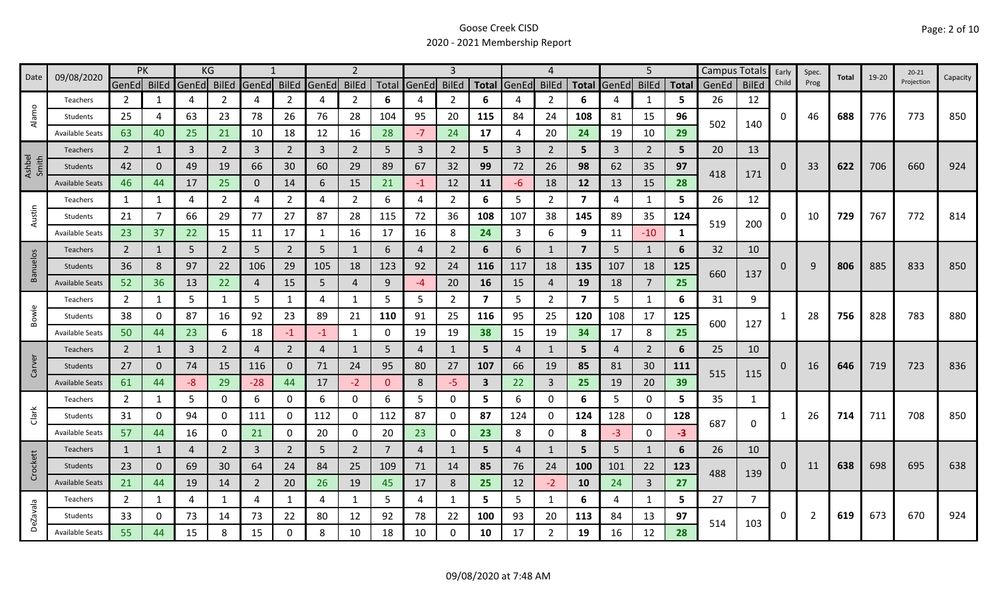| 09/08/2020<br>Date | <b>PK</b>              |                |              | KG          |                |                |                | $\overline{2}$ |                |          |             |                |                         | 4           |                |                         | 5              |                |              | Campus Totals | Early        | Spec.    | Total | $19 - 20$ | $20 - 21$ |            |          |
|--------------------|------------------------|----------------|--------------|-------------|----------------|----------------|----------------|----------------|----------------|----------|-------------|----------------|-------------------------|-------------|----------------|-------------------------|----------------|----------------|--------------|---------------|--------------|----------|-------|-----------|-----------|------------|----------|
|                    |                        | GenEd BilEd    |              | GenEd BilEd |                | GenEd          | <b>BilEd</b>   | GenEd          | <b>BilEd</b>   |          | Total GenEd | <b>BilEd</b>   |                         | Total GenEd | <b>BilEd</b>   | <b>Total</b>            | GenEd          | <b>BilEd</b>   | <b>Total</b> | GenEd         | <b>BilEd</b> | Child    | Prog  |           |           | Projection | Capacity |
|                    | Teachers               | $\overline{2}$ | 1            | 4           | 2              | 4              | $\overline{2}$ | 4              | $\overline{2}$ | 6        | 4           | 2              | 6                       |             | 2              | 6                       |                | 1              | 5.           | 26            | 12           |          |       |           |           |            |          |
| Alamo              | Students               | 25             | 4            | 63          | 23             | 78             | 26             | 76             | 28             | 104      | 95          | 20             | 115                     | 84          | 24             | 108                     | 81             | 15             | 96           | 502           | 140          | 0        | 46    | 688       | 776       | 773        | 850      |
|                    | <b>Available Seats</b> | 63             | 40           | 25          | 21             | 10             | 18             | 12             | 16             | 28       | $-7$        | 24             | 17                      | 4           | 20             | 24                      | 19             | 10             | 29           |               |              |          |       |           |           |            |          |
|                    | Teachers               | $\overline{2}$ | 1            | 3           | $\overline{2}$ | 3              | $\overline{2}$ | 3              | $\overline{2}$ | 5        | 3           | $\overline{2}$ | 5                       | 3           | 2              | 5                       | 3              | $\overline{2}$ | 5            | 20            | 13           |          |       |           |           |            |          |
| Ashbel<br>Smith    | <b>Students</b>        | 42             | $\Omega$     | 49          | 19             | 66             | 30             | 60             | 29             | 89       | 67          | 32             | 99                      | 72          | 26             | 98                      | 62             | 35             | 97           | 418           |              | $\Omega$ | 33    | 622       | 706       | 660        | 924      |
|                    | <b>Available Seats</b> | 46             | 44           | 17          | 25             | $\mathbf{0}$   | 14             | 6              | 15             | 21       | $-1$        | 12             | 11                      | -6          | 18             | 12                      | 13             | 15             | 28           |               | 171          |          |       |           |           |            |          |
|                    | Teachers               | 1              | 1            | 4           | $\overline{2}$ | 4              | $\overline{2}$ | 4              | $\overline{2}$ | 6        | 4           | $\overline{2}$ | 6                       | 5           | $\overline{2}$ | $\overline{\mathbf{z}}$ | 4              | $\mathbf{1}$   | 5            | 26            | 12           |          |       |           |           |            |          |
| Austin             | Students               | 21             | 7            | 66          | 29             | 77             | 27             | 87             | 28             | 115      | 72          | 36             | 108                     | 107         | 38             | 145                     | 89             | 35             | 124          |               |              | 0        | 10    | 729       | 767       | 772        | 814      |
|                    | <b>Available Seats</b> | 23             | 37           | 22          | 15             | 11             | 17             | 1              | 16             | 17       | 16          | 8              | 24                      | 3           | 6              | 9                       | 11             | $-10$          | 1            | 519           | 200          |          |       |           |           |            |          |
|                    | Teachers               | $\overline{2}$ | 1            | 5           | $\overline{2}$ | 5              | $\overline{2}$ | 5              | 1              | 6        | 4           | $\overline{2}$ | 6                       | 6           | $\mathbf{1}$   | $\overline{7}$          | 5              | 1              | 6            | 32            | 10           |          |       |           |           |            |          |
| <b>Banuelos</b>    | Students               | 36             | 8            | 97          | 22             | 106            | 29             | 105            | 18             | 123      | 92          | 24             | 116                     | 117         | 18             | 135                     | 107            | 18             | 125          |               |              | 0        | 9     | 806       | 885       | 833        | 850      |
|                    | <b>Available Seats</b> | 52             | 36           | 13          | 22             | $\overline{4}$ | 15             | 5              | $\overline{4}$ | 9        | -4          | 20             | 16                      | 15          | 4              | 19                      | 18             | 7              | 25           | 660           | 137          |          |       |           |           |            |          |
|                    | Teachers               | $\overline{2}$ | $\mathbf{1}$ | 5           | $\mathbf{1}$   | 5              | 1              | 4              | 1              | 5        | 5           | $\overline{2}$ | $\overline{\mathbf{z}}$ | 5.          | 2              | $\overline{\mathbf{z}}$ | 5              | 1              | 6            | 31            | 9            |          |       |           |           |            |          |
| Bowie              | Students               | 38             | 0            | 87          | 16             | 92             | 23             | 89             | 21             | 110      | 91          | 25             | 116                     | 95          | 25             | 120                     | 108            | 17             | 125          |               |              |          | 28    | 756       | 828       | 783        | 880      |
|                    | <b>Available Seats</b> | 50             | 44           | 23          | 6              | 18             | $-1$           | $-1$           | $\mathbf{1}$   | 0        | 19          | 19             | 38                      | 15          | 19             | 34                      | 17             | 8              | 25           | 600           | 127          |          |       |           |           |            |          |
|                    | Teachers               | $\overline{2}$ | 1            | 3           | $\overline{2}$ | $\overline{4}$ | $\overline{2}$ | 4              | 1              | 5        | 4           |                | 5                       | 4           | 1              | 5                       | $\overline{4}$ | $\overline{2}$ | 6            | 25            | 10           |          |       |           |           |            |          |
| Carver             | <b>Students</b>        | 27             | $\Omega$     | 74          | 15             | 116            | $\mathbf 0$    | 71             | 24             | 95       | 80          | 27             | 107                     | 66          | 19             | 85                      | 81             | 30             | 111          |               |              | 0        | 16    | 646       | 719       | 723        | 836      |
|                    | <b>Available Seats</b> | 61             | 44           | $-8$        | 29             | $-28$          | 44             | 17             | $-2$           | $\Omega$ | 8           | -5             | $\mathbf{3}$            | 22          | $\overline{3}$ | 25                      | 19             | 20             | 39           | 515           | 115          |          |       |           |           |            |          |
|                    | Teachers               | $\overline{2}$ | 1            | 5           | 0              | 6              | 0              | 6              | 0              | 6        | 5           | 0              | 5                       | 6           | 0              | 6                       | 5              | $\mathbf 0$    | 5            | 35            | 1            |          |       |           |           |            |          |
| Clark              | Students               | 31             | 0            | 94          | 0              | 111            | 0              | 112            | 0              | 112      | 87          | 0              | 87                      | 124         | 0              | 124                     | 128            | $\mathbf 0$    | 128          | 687           |              |          | 26    | 714       | 711       | 708        | 850      |
|                    | <b>Available Seats</b> | 57             | 44           | 16          | 0              | 21             | 0              | 20             | 0              | 20       | 23          | 0              | 23                      | 8           | 0              | 8                       | $-3$           | $\mathbf 0$    | $-3$         |               | 0            |          |       |           |           |            |          |
|                    | Teachers               | $\mathbf{1}$   | 1            | 4           | $\overline{2}$ | 3              | $\overline{2}$ | 5              | $\overline{2}$ | 7        | 4           |                | 5                       | 4           | 1              | 5                       | 5              | 1              | 6            | 26            | 10           |          |       |           |           |            |          |
| Crockett           | Students               | 23             | 0            | 69          | 30             | 64             | 24             | 84             | 25             | 109      | 71          | 14             | 85                      | 76          | 24             | <b>100</b>              | 101            | 22             | 123          |               |              | 0        | 11    | 638       | 698       | 695        | 638      |
|                    | <b>Available Seats</b> | 21             | 44           | 19          | 14             | 2              | 20             | 26             | 19             | 45       | 17          | 8              | 25                      | 12          | $-2$           | 10                      | 24             | $\overline{3}$ | 27           | 488           | 139          |          |       |           |           |            |          |
|                    | Teachers               | $\overline{2}$ | 1            | 4           | 1              | 4              | $\mathbf{1}$   | 4              | 1              | 5        | 4           | 1              | 5                       | 5           | $\mathbf{1}$   | 6                       | 4              | $\mathbf{1}$   | 5.           | 27            | 7            |          |       |           |           |            |          |
| <b>DeZavala</b>    | Students               | 33             | 0            | 73          | 14             | 73             | 22             | 80             | 12             | 92       | 78          | 22             | 100                     | 93          | 20             | 113                     | 84             | 13             | 97           |               |              | 0        | 2     | 619       | 673       | 670        | 924      |
|                    | <b>Available Seats</b> | 55             | 44           | 15          | 8              | 15             | 0              | 8              | 10             | 18       | 10          | 0              | 10                      | 17          | $\overline{2}$ | 19                      | 16             | 12             | 28           | 514           | 103          |          |       |           |           |            |          |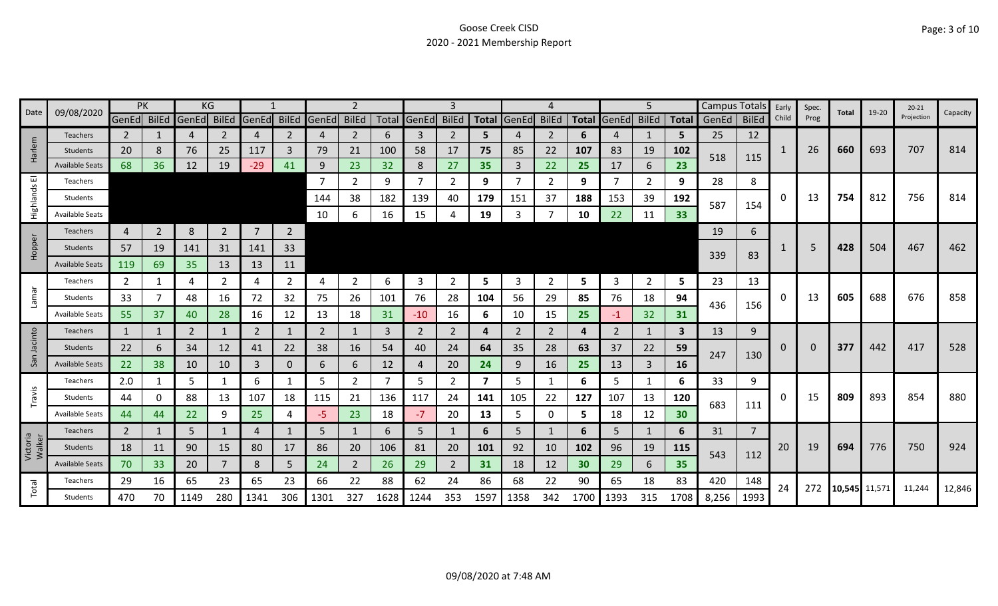|                    | 09/08/2020             | PK             |                |       | ΚG             |                |                |                |                |      |                |                |                         |                |                |      |                   | 5              |      | Campus Totals |                | Early | Spec. | Total         | 19-20 | $20 - 21$  | Capacity |
|--------------------|------------------------|----------------|----------------|-------|----------------|----------------|----------------|----------------|----------------|------|----------------|----------------|-------------------------|----------------|----------------|------|-------------------|----------------|------|---------------|----------------|-------|-------|---------------|-------|------------|----------|
| Date               |                        | GenEd BilEd    |                | GenEd | BilEd          | GenEd          | <b>BilEd</b>   | GenEd BilEd    |                |      | Total GenEd    | <b>BilEd</b>   | <b>Total</b>            | GenEd          | <b>BilEd</b>   |      | Total GenEd BilEd |                |      | Total GenEd   | <b>BilEd</b>   | Child | Prog  |               |       | Projection |          |
|                    | Teachers               | 2              |                | 4     | 2              | 4              | 2              | 4              | $\overline{2}$ | 6    | 3              | 2              | 5                       | 4              | 2              | 6    | 4                 | 1              | 5    | 25            | 12             |       |       |               |       |            |          |
| Harlem             | Students               | 20             | 8              | 76    | 25             | 117            | 3              | 79             | 21             | 100  | 58             | 17             | 75                      | 85             | 22             | 107  | 83                | 19             | 102  | 518           | 115            | 1     | 26    | 660           | 693   | 707        | 814      |
|                    | <b>Available Seats</b> | 68             | 36             | 12    | 19             | $-29$          | 41             | 9              | 23             | 32   | 8              | 27             | 35                      | 3              | 22             | 25   | 17                | 6              | 23   |               |                |       |       |               |       |            |          |
| ш                  | Teachers               |                |                |       |                |                |                |                | $\overline{2}$ | 9    | $\overline{7}$ | $\overline{2}$ | 9                       |                | 2              | 9    | 7                 | $\overline{2}$ | 9    | 28            | 8              |       |       |               |       |            |          |
| Highlands          | Students               |                |                |       |                |                |                | 144            | 38             | 182  | 139            | 40             | 179                     | 151            | 37             | 188  | 153               | 39             | 192  | 587           | 154            | 0     | 13    | 754           | 812   | 756        | 814      |
|                    | <b>Available Seats</b> |                |                |       |                |                |                | 10             | 6              | 16   | 15             |                | 19                      | 3              |                | 10   | 22                | 11             | 33   |               |                |       |       |               |       |            |          |
|                    | Teachers               | 4              | $\overline{2}$ | 8     | $\overline{2}$ | $\overline{7}$ | $\overline{2}$ |                |                |      |                |                |                         |                |                |      |                   |                |      | 19            | 6              |       |       |               |       |            |          |
| Hopper             | Students               | 57             | 19             | 141   | 31             | 141            | 33             |                |                |      |                |                |                         |                |                |      |                   |                |      |               |                |       |       | 428           | 504   | 467        | 462      |
|                    | <b>Available Seats</b> | 119            | 69             | 35    | 13             | 13             | 11             |                |                |      |                |                |                         |                |                |      |                   |                |      | 339           | 83             |       |       |               |       |            |          |
|                    | Teachers               | $\overline{2}$ | 1              | 4     | $\overline{2}$ | 4              | $\overline{2}$ | 4              | $\overline{2}$ | 6    | 3              | $\overline{2}$ | 5                       | 3              | $\overline{2}$ | 5    | $\overline{3}$    | $\overline{2}$ | 5    | 23            | 13             |       |       |               |       |            |          |
| Lamar              | Students               | 33             |                | 48    | 16             | 72             | 32             | 75             | 26             | 101  | 76             | 28             | 104                     | 56             | 29             | 85   | 76                | 18             | 94   |               |                | 0     | 13    | 605           | 688   | 676        | 858      |
|                    | Available Seats        | 55             | 37             | 40    | 28             | 16             | 12             | 13             | 18             | 31   | $-10$          | 16             | 6                       | 10             | 15             | 25   | $-1$              | 32             | 31   | 436           | 156            |       |       |               |       |            |          |
|                    | <b>Teachers</b>        | $\mathbf{1}$   | 1              | 2     |                | $\overline{2}$ | $\mathbf{1}$   | $\overline{2}$ | $\mathbf{1}$   | 3    | $\overline{2}$ | 2              | 4                       | $\overline{2}$ | $\overline{2}$ | 4    | 2                 | $\mathbf{1}$   | 3    | 13            | 9              |       |       |               |       |            |          |
| Jacinto            | <b>Students</b>        | 22             | 6              | 34    | 12             | 41             | 22             | 38             | 16             | 54   | 40             | 24             | 64                      | 35             | 28             | 63   | 37                | 22             | 59   |               |                | 0     | 0     | 377           | 442   | 417        | 528      |
| San                | <b>Available Seats</b> | 22             | 38             | 10    | 10             | 3              | 0              | 6              | 6              | 12   | $\overline{4}$ | 20             | 24                      | 9              | 16             | 25   | 13                | $\mathbf{3}$   | 16   | 247           | 130            |       |       |               |       |            |          |
|                    | Teachers               | 2.0            |                | 5     |                | 6              | 1              | 5              | $\overline{2}$ |      | 5              | 2              | $\overline{\mathbf{z}}$ | 5              |                | 6    | 5                 | 1              | 6    | 33            | 9              |       |       |               |       |            |          |
| Travis             | Students               | 44             | 0              | 88    | 13             | 107            | 18             | 115            | 21             | 136  | 117            | 24             | 141                     | 105            | 22             | 127  | 107               | 13             | 120  |               |                | 0     | 15    | 809           | 893   | 854        | 880      |
|                    | <b>Available Seats</b> | 44             | 44             | 22    | 9              | 25             | Δ              | -5             | 23             | 18   | $-7$           | 20             | 13                      | 5              | 0              | 5    | 18                | 12             | 30   | 683           | 111            |       |       |               |       |            |          |
|                    | Teachers               | $\overline{2}$ | 1              | 5     |                | 4              |                | 5              | $\mathbf{1}$   | 6    | 5              |                | 6                       | 5.             | -1             | 6    | 5                 | $\mathbf{1}$   | 6    | 31            | $\overline{7}$ |       |       |               |       |            |          |
| Victoria<br>Walker | Students               | 18             | 11             | 90    | 15             | 80             | 17             | 86             | 20             | 106  | 81             | 20             | 101                     | 92             | 10             | 102  | 96                | 19             | 115  |               |                | 20    | 19    | 694           | 776   | 750        | 924      |
|                    | <b>Available Seats</b> | 70             | 33             | 20    |                | 8              | 5              | 24             | $\overline{2}$ | 26   | 29             | $\overline{2}$ | 31                      | 18             | 12             | 30   | 29                | 6              | 35   | 543           | 112            |       |       |               |       |            |          |
|                    | Teachers               | 29             | 16             | 65    | 23             | 65             | 23             | 66             | 22             | 88   | 62             | 24             | 86                      | 68             | 22             | 90   | 65                | 18             | 83   | 420           | 148            |       |       |               |       |            |          |
| Total              | Students               | 470            | 70             | 1149  | 280            | 1341           | 306            | 1301           | 327            | 1628 | 1244           | 353            | 1597                    | 1358           | 342            | 1700 | 1393              | 315            | 1708 | 8,256         | 1993           | 24    | 272   | 10,545 11,571 |       | 11,244     | 12,846   |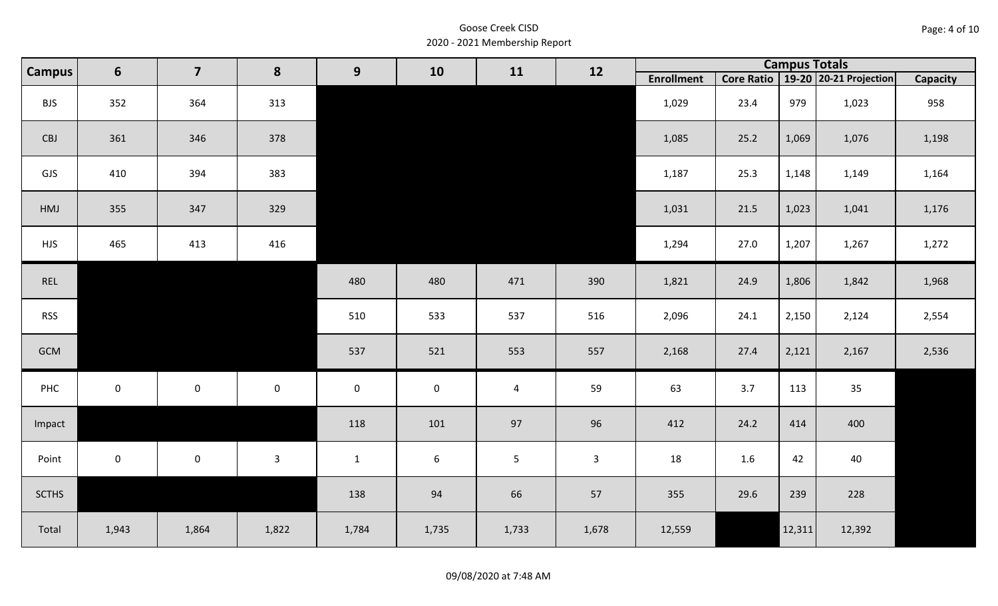| Page: 4 of 10 |  |  |  |
|---------------|--|--|--|
|---------------|--|--|--|

| <b>Campus</b> | $6\phantom{1}$      | $\overline{\mathbf{z}}$ | 8            | 9            | 10               | <b>Campus Totals</b><br>12<br>11<br>19-20 20-21 Projection<br>Core Ratio<br><b>Enrollment</b> |                |        |      |        |        |          |
|---------------|---------------------|-------------------------|--------------|--------------|------------------|-----------------------------------------------------------------------------------------------|----------------|--------|------|--------|--------|----------|
|               |                     |                         |              |              |                  |                                                                                               |                |        |      |        |        | Capacity |
| <b>BJS</b>    | 352                 | 364                     | 313          |              |                  |                                                                                               |                | 1,029  | 23.4 | 979    | 1,023  | 958      |
| CBJ           | 361                 | 346                     | 378          |              |                  |                                                                                               |                | 1,085  | 25.2 | 1,069  | 1,076  | 1,198    |
| GJS           | 410                 | 394                     | 383          |              |                  |                                                                                               |                | 1,187  | 25.3 | 1,148  | 1,149  | 1,164    |
| HMJ           | 355                 | 347                     | 329          |              |                  |                                                                                               |                | 1,031  | 21.5 | 1,023  | 1,041  | 1,176    |
| <b>HJS</b>    | 465                 | 413                     | 416          |              |                  |                                                                                               |                | 1,294  | 27.0 | 1,207  | 1,267  | 1,272    |
| REL           |                     |                         |              | 480          | 480              | 471                                                                                           | 390            | 1,821  | 24.9 | 1,806  | 1,842  | 1,968    |
| <b>RSS</b>    |                     |                         |              | 510          | 533              | 537                                                                                           | 516            | 2,096  | 24.1 | 2,150  | 2,124  | 2,554    |
| GCM           |                     |                         |              | 537          | 521              | 553                                                                                           | 557            | 2,168  | 27.4 | 2,121  | 2,167  | 2,536    |
| PHC           | $\mathsf{O}\xspace$ | $\mathbf 0$             | $\mathbf 0$  | $\mathbf 0$  | $\pmb{0}$        | $\overline{4}$                                                                                | 59             | 63     | 3.7  | 113    | 35     |          |
| Impact        |                     |                         |              | 118          | 101              | 97                                                                                            | 96             | 412    | 24.2 | 414    | 400    |          |
| Point         | $\mathbf 0$         | $\mathsf{O}$            | $\mathbf{3}$ | $\mathbf{1}$ | $\boldsymbol{6}$ | $5\phantom{.}$                                                                                | $\overline{3}$ | 18     | 1.6  | 42     | 40     |          |
| <b>SCTHS</b>  |                     |                         |              | 138          | 94               | 66                                                                                            | 57             | 355    | 29.6 | 239    | 228    |          |
| Total         | 1,943               | 1,864                   | 1,822        | 1,784        | 1,735            | 1,733                                                                                         | 1,678          | 12,559 |      | 12,311 | 12,392 |          |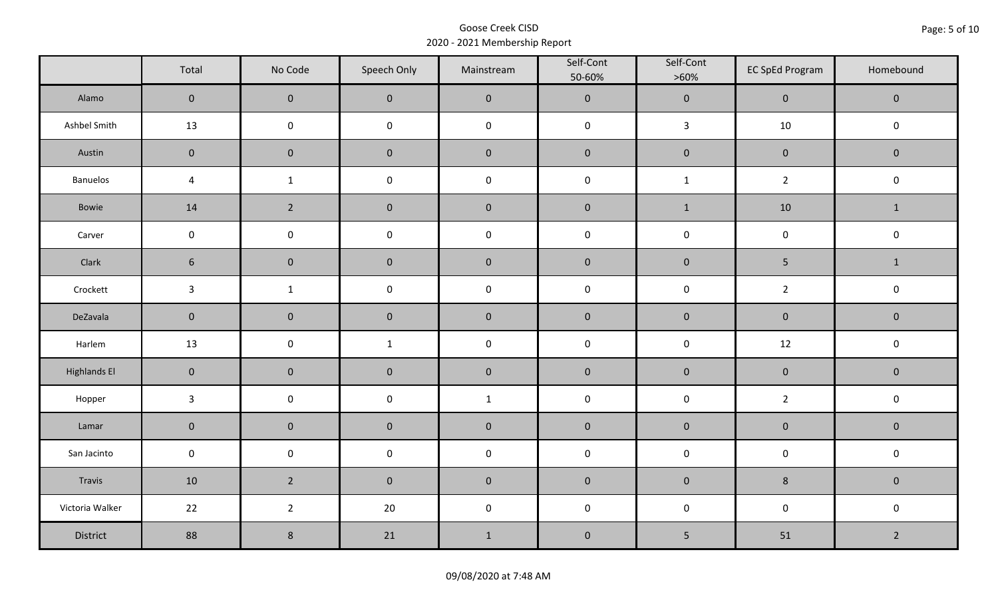|                     | Total               | No Code             | Speech Only         | Mainstream  | Self-Cont<br>50-60% | Self-Cont<br>$>60\%$ | <b>EC SpEd Program</b> | Homebound      |  |
|---------------------|---------------------|---------------------|---------------------|-------------|---------------------|----------------------|------------------------|----------------|--|
| Alamo               | $\overline{0}$      | $\mathbf{0}$        | $\mathbf{0}$        | $\pmb{0}$   | $\pmb{0}$           | $\pmb{0}$            | $\mathbf 0$            | $\mathbf 0$    |  |
| Ashbel Smith        | 13                  | $\mathsf 0$         | $\mathsf 0$         | $\pmb{0}$   | $\pmb{0}$           | $\mathbf{3}$         | 10                     | $\mathbf 0$    |  |
| Austin              | $\mathbf 0$         | $\mathbf 0$         | $\mathbf 0$         | $\pmb{0}$   | $\pmb{0}$           | $\pmb{0}$            | $\pmb{0}$              | $\mathbf 0$    |  |
| Banuelos            | $\sqrt{4}$          | $\mathbf{1}$        | $\pmb{0}$           | $\pmb{0}$   | $\pmb{0}$           | $\mathbf 1$          | $\overline{2}$         | $\pmb{0}$      |  |
| Bowie               | 14                  | $\overline{2}$      | $\mathbf{0}$        | $\mathbf 0$ | $\mathbf 0$         | $\mathbf{1}$         | 10                     | $\mathbf{1}$   |  |
| Carver              | $\mathbf 0$         | $\pmb{0}$           | $\pmb{0}$           | $\pmb{0}$   | $\pmb{0}$           | $\pmb{0}$            | $\pmb{0}$              | $\pmb{0}$      |  |
| Clark               | $6\phantom{1}$      | $\mathbf 0$         | $\mathbf 0$         | $\pmb{0}$   | $\pmb{0}$           | $\pmb{0}$            | 5                      | $\mathbf{1}$   |  |
| Crockett            | $\mathbf{3}$        | $\mathbf{1}$        | $\pmb{0}$           | $\pmb{0}$   | $\mathsf 0$         | $\pmb{0}$            | $\overline{2}$         | $\pmb{0}$      |  |
| DeZavala            | $\mathbf 0$         | $\mathsf{O}\xspace$ | $\mathbf 0$         | $\pmb{0}$   | $\pmb{0}$           | $\pmb{0}$            | $\pmb{0}$              | $\pmb{0}$      |  |
| Harlem              | 13                  | $\mathsf{O}\xspace$ | $\mathbf{1}$        | $\pmb{0}$   | $\pmb{0}$           | $\pmb{0}$            | 12                     | $\pmb{0}$      |  |
| <b>Highlands El</b> | $\mathbf 0$         | $\mathbf 0$         | $\mathbf 0$         | $\pmb{0}$   | $\pmb{0}$           | $\pmb{0}$            | $\pmb{0}$              | $\mathbf 0$    |  |
| Hopper              | $\mathbf{3}$        | $\mathsf{O}\xspace$ | $\mathsf{O}\xspace$ | $\mathbf 1$ | $\pmb{0}$           | $\pmb{0}$            | $\overline{2}$         | $\pmb{0}$      |  |
| Lamar               | $\mathbf 0$         | $\mathbf 0$         | $\mathbf 0$         | $\pmb{0}$   | $\pmb{0}$           | $\pmb{0}$            | $\pmb{0}$              | $\pmb{0}$      |  |
| San Jacinto         | $\mathsf{O}\xspace$ | $\pmb{0}$           | $\pmb{0}$           | $\pmb{0}$   | $\pmb{0}$           | $\pmb{0}$            | $\pmb{0}$              | $\pmb{0}$      |  |
| Travis              | 10                  | $2^{\circ}$         | $\mathbf 0$         | $\pmb{0}$   | $\pmb{0}$           | $\pmb{0}$            | $\bf 8$                | $\mathbf 0$    |  |
| Victoria Walker     | 22                  | $\overline{2}$      | 20                  | $\pmb{0}$   | $\pmb{0}$           | $\pmb{0}$            | $\pmb{0}$              | $\pmb{0}$      |  |
| District            | 88                  | $\,8\,$             | 21                  | $\mathbf 1$ | $\pmb{0}$           | $\sqrt{5}$           | 51                     | $\overline{2}$ |  |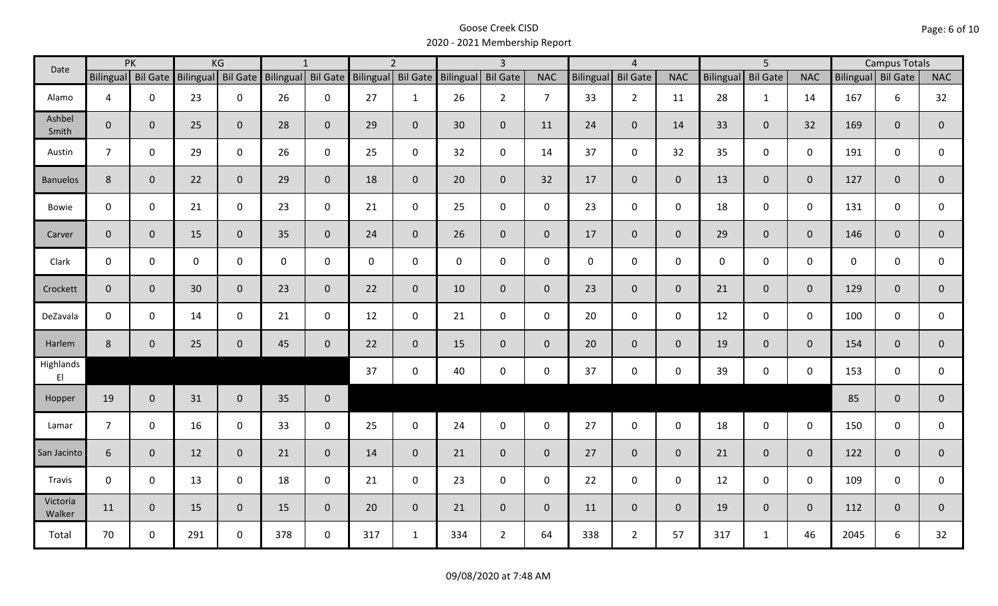| Date                                |                | PK                 |     | KG                 |     | $\mathbf{1}$        |                    | $\overline{2}$ |                     | $\overline{3}$  |                |             | $\overline{4}$  |                |                  | $\overline{5}$  |                |                    | <b>Campus Totals</b> |                |
|-------------------------------------|----------------|--------------------|-----|--------------------|-----|---------------------|--------------------|----------------|---------------------|-----------------|----------------|-------------|-----------------|----------------|------------------|-----------------|----------------|--------------------|----------------------|----------------|
|                                     |                | Bilingual Bil Gate |     | Bilingual Bil Gate |     | Bilingual Bil Gate  | Bilingual Bil Gate |                | Bilingual           | <b>Bil Gate</b> | <b>NAC</b>     | Bilingual   | <b>Bil Gate</b> | <b>NAC</b>     | <b>Bilingual</b> | <b>Bil Gate</b> | <b>NAC</b>     | Bilingual Bil Gate |                      | <b>NAC</b>     |
| Alamo                               | $\overline{4}$ | 0                  | 23  | $\mathbf 0$        | 26  | $\mathbf 0$         | 27                 | $\mathbf{1}$   | 26                  | 2 <sup>1</sup>  | $\overline{7}$ | 33          | $2^{\circ}$     | 11             | 28               | $\mathbf{1}$    | 14             | 167                | 6                    | 32             |
| Ashbel<br>Smith                     | $\mathbf{0}$   | $\mathbf{0}$       | 25  | $\mathbf{0}$       | 28  | $\mathbf{0}$        | 29                 | $\overline{0}$ | 30                  | $\overline{0}$  | 11             | 24          | $\mathbf{0}$    | 14             | 33               | 0               | 32             | 169                | $\overline{0}$       | $\mathbf{0}$   |
| Austin                              | $\overline{7}$ | $\mathbf 0$        | 29  | $\mathbf 0$        | 26  | $\mathbf 0$         | 25                 | $\mathbf{0}$   | 32                  | $\mathbf 0$     | 14             | 37          | $\mathbf 0$     | 32             | 35               | 0               | $\mathbf 0$    | 191                | 0                    | 0              |
| <b>Banuelos</b>                     | 8              | $\mathbf 0$        | 22  | $\overline{0}$     | 29  | $\mathbf{0}$        | 18                 | $\mathbf{0}$   | 20                  | $\overline{0}$  | 32             | 17          | $\mathbf{0}$    | $\overline{0}$ | 13               | $\mathbf{0}$    | $\mathbf{0}$   | 127                | $\mathbf{0}$         | $\pmb{0}$      |
| Bowie                               | $\mathsf{O}$   | $\mathbf 0$        | 21  | $\mathbf 0$        | 23  | $\mathbf 0$         | 21                 | $\mathbf 0$    | 25                  | $\mathbf 0$     | $\mathbf 0$    | 23          | $\mathbf 0$     | $\mathbf 0$    | 18               | 0               | $\mathbf 0$    | 131                | 0                    | 0              |
| Carver                              | $\mathbf 0$    | $\mathbf{0}$       | 15  | $\overline{0}$     | 35  | $\mathbf{0}$        | 24                 | $\overline{0}$ | 26                  | $\overline{0}$  | $\mathbf 0$    | 17          | $\mathbf 0$     | $\overline{0}$ | 29               | $\mathbf{0}$    | $\mathbf{0}$   | 146                | $\mathbf{0}$         | $\pmb{0}$      |
| Clark                               | $\mathsf{O}$   | $\mathbf 0$        | 0   | $\mathbf 0$        | 0   | $\mathbf 0$         | $\mathbf 0$        | $\mathbf 0$    | $\mathsf{O}\xspace$ | $\mathsf{O}$    | $\mathbf 0$    | $\mathbf 0$ | $\mathbf 0$     | $\mathbf 0$    | $\mathbf 0$      | 0               | $\mathbf 0$    | 0                  | 0                    | $\mathbf{0}$   |
| Crockett                            | $\mathbf 0$    | $\mathbf 0$        | 30  | $\mathbf{0}$       | 23  | $\mathbf{0}$        | 22                 | $\overline{0}$ | 10                  | $\mathbf{0}$    | $\mathbf{0}$   | 23          | $\mathbf{0}$    | $\overline{0}$ | 21               | $\mathbf{0}$    | $\mathbf{0}$   | 129                | $\overline{0}$       | $\overline{0}$ |
| DeZavala                            | $\mathbf 0$    | $\mathbf 0$        | 14  | $\mathbf 0$        | 21  | $\mathbf 0$         | 12                 | $\mathbf 0$    | 21                  | $\mathbf 0$     | $\mathbf 0$    | 20          | $\mathbf 0$     | $\mathbf 0$    | 12               | $\mathbf 0$     | $\mathbf 0$    | 100                | $\mathbf 0$          | 0              |
| Harlem                              | $8\phantom{1}$ | $\mathbf 0$        | 25  | $\mathbf 0$        | 45  | $\mathsf{O}\xspace$ | 22                 | $\overline{0}$ | 15                  | $\overline{0}$  | $\mathbf{0}$   | 20          | $\overline{0}$  | $\overline{0}$ | 19               | $\mathbf{0}$    | $\overline{0}$ | 154                | $\mathbf{0}$         | $\overline{0}$ |
| Highlands<br>$\mathsf{E}\mathsf{I}$ |                |                    |     |                    |     |                     | 37                 | $\mathbf 0$    | 40                  | $\mathsf{O}$    | $\mathbf 0$    | 37          | $\mathbf 0$     | $\mathsf{O}$   | 39               | 0               | $\mathbf 0$    | 153                | $\mathbf 0$          | 0              |
| Hopper                              | 19             | $\mathbf{0}$       | 31  | $\overline{0}$     | 35  | $\mathbf{0}$        |                    |                |                     |                 |                |             |                 |                |                  |                 |                | 85                 | $\mathbf{0}$         | $\overline{0}$ |
| Lamar                               | $\overline{7}$ | $\mathbf 0$        | 16  | $\mathbf 0$        | 33  | $\mathbf 0$         | 25                 | $\mathbf 0$    | 24                  | $\mathbf 0$     | $\mathbf 0$    | 27          | $\mathbf 0$     | $\mathbf 0$    | 18               | $\mathbf 0$     | $\mathbf 0$    | 150                | $\mathbf 0$          | 0              |
| San Jacinto                         | $6\phantom{.}$ | $\mathbf{0}$       | 12  | $\overline{0}$     | 21  | $\mathbf 0$         | 14                 | $\overline{0}$ | 21                  | $\overline{0}$  | $\mathbf{0}$   | 27          | $\overline{0}$  | $\mathbf{0}$   | 21               | $\overline{0}$  | $\mathbf{0}$   | 122                | $\mathbf{0}$         | $\pmb{0}$      |
| Travis                              | $\mathbf 0$    | $\mathbf 0$        | 13  | $\mathbf 0$        | 18  | $\mathbf 0$         | 21                 | $\mathbf 0$    | 23                  | $\mathsf{O}$    | $\mathbf 0$    | 22          | $\mathbf 0$     | $\mathsf{O}$   | 12               | $\mathbf 0$     | $\mathbf 0$    | 109                | 0                    | 0              |
| Victoria<br>Walker                  | 11             | $\mathbf{0}$       | 15  | $\overline{0}$     | 15  | $\mathbf{0}$        | 20                 | $\overline{0}$ | 21                  | $\overline{0}$  | $\mathbf 0$    | 11          | $\overline{0}$  | $\overline{0}$ | 19               | $\overline{0}$  | $\mathbf{0}$   | 112                | $\mathbf{0}$         | $\mathbf 0$    |
| Total                               | 70             | $\mathbf 0$        | 291 | $\mathbf 0$        | 378 | $\mathbf 0$         | 317                | $\mathbf{1}$   | 334                 | $2^{\circ}$     | 64             | 338         | $\overline{2}$  | 57             | 317              | $\mathbf{1}$    | 46             | 2045               | 6                    | 32             |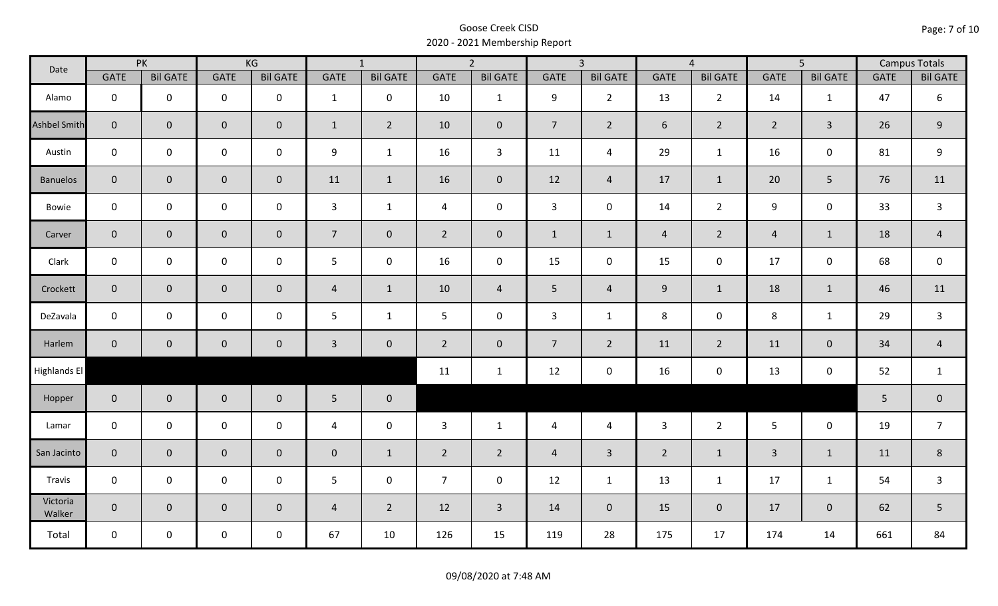| Date                |                | PK                  |                     | KG              |                | $\overline{1}$  |                | $\overline{2}$  |                | $\overline{3}$  |                | $\overline{4}$  |                | $\overline{5}$  |             | <b>Campus Totals</b> |
|---------------------|----------------|---------------------|---------------------|-----------------|----------------|-----------------|----------------|-----------------|----------------|-----------------|----------------|-----------------|----------------|-----------------|-------------|----------------------|
|                     | GATE           | <b>Bil GATE</b>     | <b>GATE</b>         | <b>Bil GATE</b> | <b>GATE</b>    | <b>Bil GATE</b> | <b>GATE</b>    | <b>Bil GATE</b> | <b>GATE</b>    | <b>Bil GATE</b> | <b>GATE</b>    | <b>Bil GATE</b> | <b>GATE</b>    | <b>Bil GATE</b> | <b>GATE</b> | <b>Bil GATE</b>      |
| Alamo               | $\mathbf 0$    | $\mathbf 0$         | $\mathbf 0$         | $\mathbf 0$     | $\mathbf{1}$   | $\mathbf 0$     | 10             | $\mathbf{1}$    | 9              | $2^{\circ}$     | 13             | $\overline{2}$  | 14             | $\mathbf{1}$    | 47          | 6                    |
| <b>Ashbel Smith</b> | $\mathbf{0}$   | $\mathbf 0$         | $\mathbf 0$         | $\mathbf{0}$    | $\mathbf{1}$   | $\overline{2}$  | 10             | $\mathbf{0}$    | $\overline{7}$ | $\overline{2}$  | 6              | $\overline{2}$  | $2^{\circ}$    | $\overline{3}$  | 26          | $\mathsf 9$          |
| Austin              | $\mathbf 0$    | $\mathbf 0$         | $\mathbf 0$         | $\mathbf 0$     | 9              | $\mathbf{1}$    | 16             | $\overline{3}$  | 11             | $\overline{a}$  | 29             | $\mathbf{1}$    | 16             | $\mathbf 0$     | 81          | $\boldsymbol{9}$     |
| <b>Banuelos</b>     | $\overline{0}$ | $\mathbf 0$         | $\mathbf 0$         | $\overline{0}$  | 11             | $\mathbf{1}$    | 16             | $\mathbf{0}$    | 12             | $\overline{4}$  | 17             | $\mathbf{1}$    | 20             | 5               | 76          | 11                   |
| Bowie               | $\mathbf 0$    | $\mathbf 0$         | $\mathsf 0$         | $\mathbf 0$     | $\mathbf{3}$   | $\mathbf{1}$    | $\overline{4}$ | $\mathbf 0$     | $\mathbf{3}$   | $\mathbf 0$     | 14             | $2^{\circ}$     | 9              | $\mathbf 0$     | 33          | $\overline{3}$       |
| Carver              | $\overline{0}$ | $\mathbf{0}$        | $\mathbf 0$         | $\overline{0}$  | 7 <sup>7</sup> | $\overline{0}$  | $2^{\circ}$    | $\mathbf{0}$    | $\mathbf{1}$   | $\mathbf{1}$    | $\overline{4}$ | $\overline{2}$  | $\overline{4}$ | $\mathbf{1}$    | 18          | $\overline{4}$       |
| Clark               | $\mathbf 0$    | $\mathbf 0$         | $\mathbf 0$         | $\mathbf 0$     | 5              | $\mathbf 0$     | 16             | $\mathbf 0$     | 15             | $\mathbf 0$     | 15             | $\mathbf 0$     | 17             | $\mathbf 0$     | 68          | $\mathsf 0$          |
| Crockett            | $\overline{0}$ | $\mathbf 0$         | $\mathsf{O}\xspace$ | $\overline{0}$  | $\overline{4}$ | $\mathbf{1}$    | 10             | $\overline{4}$  | 5 <sub>1</sub> | $\overline{4}$  | $9\,$          | $\mathbf{1}$    | 18             | $\mathbf{1}$    | 46          | 11                   |
| DeZavala            | $\mathbf 0$    | $\mathbf 0$         | $\pmb{0}$           | $\mathbf 0$     | 5              | $\mathbf{1}$    | 5              | $\mathbf 0$     | 3              | $\mathbf{1}$    | 8              | $\mathbf 0$     | $\,8\,$        | $\mathbf{1}$    | 29          | $\mathsf{3}$         |
| Harlem              | $\overline{0}$ | $\mathsf{O}\xspace$ | $\pmb{0}$           | $\mathbf 0$     | $\mathbf{3}$   | $\mathbf 0$     | $2^{\circ}$    | $\mathbf 0$     | $\overline{7}$ | $\overline{2}$  | 11             | $\overline{2}$  | 11             | $\mathbf 0$     | 34          | $\overline{4}$       |
| Highlands El        |                |                     |                     |                 |                |                 | 11             | $\mathbf{1}$    | 12             | $\mathbf 0$     | 16             | 0               | 13             | $\mathbf 0$     | 52          | $\mathbf{1}$         |
| Hopper              | $\overline{0}$ | $\overline{0}$      | $\mathbf 0$         | $\overline{0}$  | $5\phantom{.}$ | $\mathbf 0$     |                |                 |                |                 |                |                 |                |                 | 5           | $\pmb{0}$            |
| Lamar               | $\mathbf 0$    | $\mathbf 0$         | $\mathsf{O}\xspace$ | $\mathbf 0$     | $\overline{4}$ | $\mathbf 0$     | 3              | $\mathbf{1}$    | $\overline{4}$ | $\overline{4}$  | $\overline{3}$ | $2^{\circ}$     | 5 <sup>5</sup> | $\mathbf 0$     | 19          | $\overline{7}$       |
| San Jacinto         | $\mathbf 0$    | $\mathbf{0}$        | $\mathsf{O}\xspace$ | $\mathbf 0$     | $\pmb{0}$      | $\mathbf{1}$    | $\overline{2}$ | $\overline{2}$  | $\overline{4}$ | $\overline{3}$  | $\overline{2}$ | $\mathbf{1}$    | $\overline{3}$ | $\mathbf{1}$    | 11          | $\,8\,$              |
| Travis              | $\mathbf 0$    | $\mathbf 0$         | $\mathsf{O}\xspace$ | $\mathbf 0$     | 5              | $\mathbf 0$     | $\overline{7}$ | $\mathbf 0$     | 12             | $\mathbf{1}$    | 13             | $\mathbf{1}$    | 17             | $\mathbf{1}$    | 54          | $\mathsf{3}$         |
| Victoria<br>Walker  | $\overline{0}$ | $\overline{0}$      | $\mathbf 0$         | $\overline{0}$  | $\overline{4}$ | $\overline{2}$  | 12             | $\overline{3}$  | 14             | $\overline{0}$  | 15             | $\overline{0}$  | 17             | $\overline{0}$  | 62          | 5                    |
| Total               | $\mathbf 0$    | $\mathbf 0$         | $\mathsf{O}$        | $\mathbf 0$     | 67             | 10              | 126            | 15              | 119            | 28              | 175            | 17              | 174            | 14              | 661         | 84                   |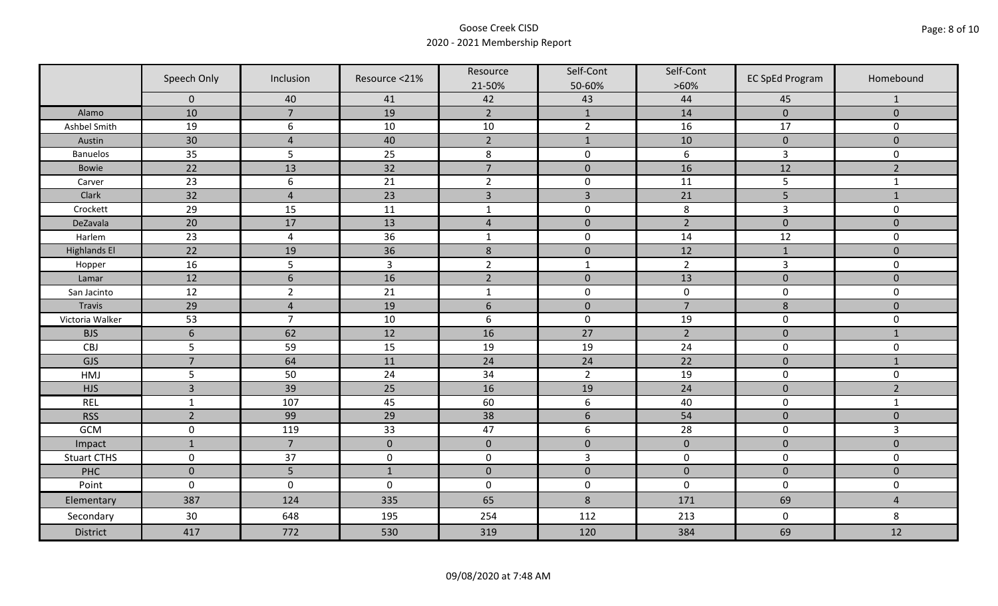|                     | Speech Only         | Inclusion       | Resource <21%  | Resource<br>21-50% | Self-Cont<br>50-60% | Self-Cont<br>$>60\%$ | <b>EC SpEd Program</b> | Homebound      |
|---------------------|---------------------|-----------------|----------------|--------------------|---------------------|----------------------|------------------------|----------------|
|                     | $\mathbf 0$         | 40              | 41             | 42                 | 43                  | 44                   | 45                     | $\mathbf{1}$   |
| Alamo               | 10                  | $\overline{7}$  | 19             | $\overline{2}$     | $\mathbf{1}$        | 14                   | $\pmb{0}$              | $\mathbf 0$    |
| Ashbel Smith        | 19                  | 6               | 10             | $10\,$             | $\overline{2}$      | 16                   | 17                     | 0              |
| Austin              | 30                  | $\overline{4}$  | 40             | $\overline{2}$     | $\mathbf{1}$        | 10                   | $\pmb{0}$              | $\overline{0}$ |
| <b>Banuelos</b>     | 35                  | 5               | 25             | $\,8\,$            | $\pmb{0}$           | $\boldsymbol{6}$     | $\mathsf{3}$           | 0              |
| <b>Bowie</b>        | 22                  | 13              | 32             | $\overline{7}$     | $\pmb{0}$           | 16                   | 12                     | $\overline{2}$ |
| Carver              | 23                  | 6               | 21             | $\overline{2}$     | $\pmb{0}$           | 11                   | 5                      | $\mathbf{1}$   |
| Clark               | 32                  | $\overline{4}$  | 23             | $\overline{3}$     | $\overline{3}$      | 21                   | 5                      | $1\,$          |
| Crockett            | 29                  | 15              | 11             | $\mathbf{1}$       | $\pmb{0}$           | 8                    | 3                      | 0              |
| DeZavala            | 20                  | 17              | 13             | $\sqrt{4}$         | $\pmb{0}$           | $\overline{2}$       | $\pmb{0}$              | $\overline{0}$ |
| Harlem              | 23                  | $\overline{4}$  | 36             | $\mathbf 1$        | $\pmb{0}$           | 14                   | 12                     | 0              |
| <b>Highlands El</b> | $\overline{22}$     | 19              | 36             | $\,$ 8 $\,$        | $\pmb{0}$           | 12                   | $1\,$                  | $\overline{0}$ |
| Hopper              | 16                  | 5               | $\overline{3}$ | $\overline{2}$     | $\mathbf{1}$        | $\overline{2}$       | $\overline{3}$         | 0              |
| Lamar               | 12                  | $6\phantom{1}6$ | 16             | $\overline{2}$     | $\pmb{0}$           | 13                   | $\pmb{0}$              | $\mathbf 0$    |
| San Jacinto         | 12                  | $\overline{2}$  | 21             | $\mathbf{1}$       | $\pmb{0}$           | $\pmb{0}$            | $\pmb{0}$              | 0              |
| Travis              | 29                  | $\overline{4}$  | 19             | $6\,$              | $\pmb{0}$           | $\overline{7}$       | 8                      | $\mathbf 0$    |
| Victoria Walker     | 53                  | $\overline{7}$  | 10             | $\boldsymbol{6}$   | $\pmb{0}$           | 19                   | $\pmb{0}$              | 0              |
| <b>BJS</b>          | $6\phantom{1}6$     | 62              | 12             | 16                 | 27                  | $\overline{2}$       | $\pmb{0}$              | $\mathbf{1}$   |
| CBJ                 | 5                   | 59              | 15             | 19                 | 19                  | 24                   | $\pmb{0}$              | 0              |
| GJS                 | $\overline{7}$      | 64              | 11             | 24                 | 24                  | 22                   | $\mathbf 0$            | $\mathbf{1}$   |
| HMJ                 | 5                   | 50              | 24             | 34                 | $\overline{2}$      | 19                   | $\pmb{0}$              | 0              |
| <b>HJS</b>          | $\overline{3}$      | 39              | 25             | 16                 | 19                  | 24                   | $\pmb{0}$              | $\overline{2}$ |
| <b>REL</b>          | $\mathbf{1}$        | 107             | 45             | 60                 | $\boldsymbol{6}$    | 40                   | $\pmb{0}$              | $\mathbf{1}$   |
| <b>RSS</b>          | $\overline{2}$      | 99              | 29             | 38                 | $\sqrt{6}$          | 54                   | $\pmb{0}$              | $\mathbf{0}$   |
| GCM                 | $\mathsf{O}\xspace$ | 119             | 33             | 47                 | $\boldsymbol{6}$    | 28                   | $\pmb{0}$              | $\overline{3}$ |
| Impact              | $\mathbf{1}$        | $\overline{7}$  | $\mathbf{0}$   | $\mathbf 0$        | $\mathbf 0$         | $\pmb{0}$            | $\mathbf 0$            | $\overline{0}$ |
| <b>Stuart CTHS</b>  | $\mathsf 0$         | 37              | $\pmb{0}$      | $\pmb{0}$          | $\overline{3}$      | $\pmb{0}$            | $\pmb{0}$              | 0              |
| PHC                 | $\mathbf 0$         | 5               | $1\,$          | $\pmb{0}$          | $\pmb{0}$           | $\pmb{0}$            | $\pmb{0}$              | $\pmb{0}$      |
| Point               | $\mathbf 0$         | $\mathbf 0$     | $\mathbf 0$    | $\boldsymbol{0}$   | $\pmb{0}$           | $\mathbf 0$          | $\mathbf 0$            | 0              |
| Elementary          | 387                 | 124             | 335            | 65                 | $8\phantom{1}$      | 171                  | 69                     | $\overline{4}$ |
| Secondary           | 30                  | 648             | 195            | 254                | 112                 | 213                  | $\mathbf 0$            | 8              |
| <b>District</b>     | 417                 | 772             | 530            | 319                | 120                 | 384                  | 69                     | 12             |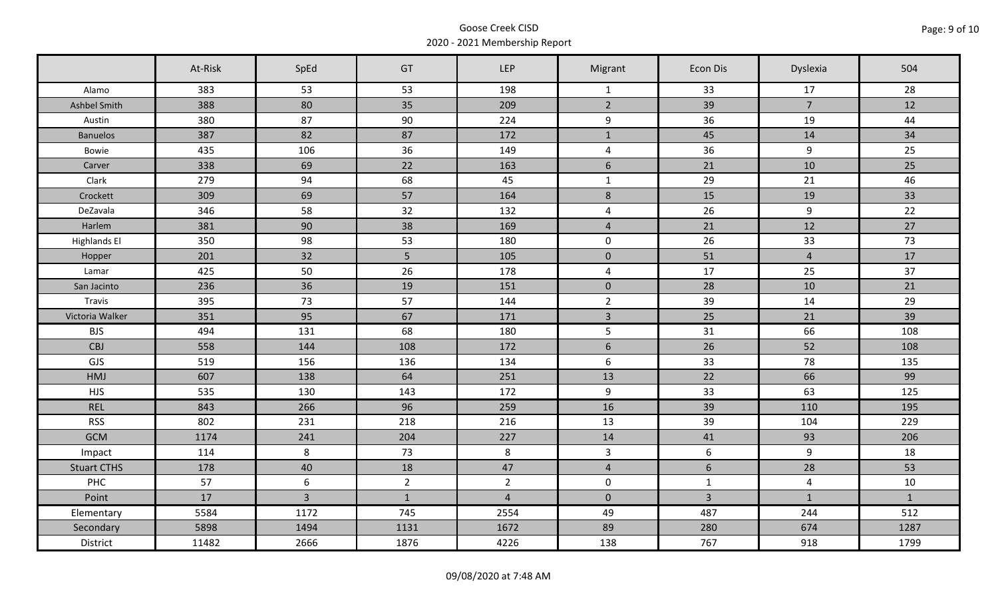|                     | At-Risk | SpEd           | GT             | <b>LEP</b>     | Migrant                 | Econ Dis       | Dyslexia       | 504          |
|---------------------|---------|----------------|----------------|----------------|-------------------------|----------------|----------------|--------------|
| Alamo               | 383     | 53             | 53             | 198            | $\mathbf{1}$            | 33             | 17             | 28           |
| Ashbel Smith        | 388     | 80             | 35             | 209            | $\overline{2}$          | 39             | $\overline{7}$ | 12           |
| Austin              | 380     | 87             | 90             | 224            | 9                       | 36             | 19             | 44           |
| <b>Banuelos</b>     | 387     | 82             | 87             | 172            | $\mathbf 1$             | 45             | 14             | 34           |
| Bowie               | 435     | 106            | 36             | 149            | $\overline{\mathbf{4}}$ | 36             | 9              | 25           |
| Carver              | 338     | 69             | 22             | 163            | $6\phantom{1}$          | 21             | 10             | 25           |
| Clark               | 279     | 94             | 68             | 45             | $\mathbf 1$             | 29             | 21             | 46           |
| Crockett            | 309     | 69             | 57             | 164            | $\bf 8$                 | 15             | 19             | 33           |
| DeZavala            | 346     | 58             | 32             | 132            | $\overline{4}$          | 26             | 9              | 22           |
| Harlem              | 381     | 90             | 38             | 169            | $\overline{4}$          | 21             | 12             | 27           |
| <b>Highlands El</b> | 350     | 98             | 53             | 180            | $\mathsf{O}$            | 26             | 33             | 73           |
| Hopper              | 201     | 32             | 5 <sub>5</sub> | 105            | $\mathbf 0$             | 51             | $\overline{4}$ | 17           |
| Lamar               | 425     | 50             | 26             | 178            | $\overline{\mathbf{4}}$ | 17             | 25             | 37           |
| San Jacinto         | 236     | 36             | 19             | 151            | $\mathbf 0$             | 28             | 10             | 21           |
| Travis              | 395     | 73             | 57             | 144            | $\overline{2}$          | 39             | 14             | 29           |
| Victoria Walker     | 351     | 95             | 67             | 171            | $\overline{3}$          | 25             | 21             | 39           |
| <b>BJS</b>          | 494     | 131            | 68             | 180            | 5                       | 31             | 66             | 108          |
| CBJ                 | 558     | 144            | 108            | 172            | $\sqrt{6}$              | 26             | 52             | 108          |
| GJS                 | 519     | 156            | 136            | 134            | 6                       | 33             | 78             | 135          |
| <b>HMJ</b>          | 607     | 138            | 64             | 251            | 13                      | 22             | 66             | 99           |
| <b>HJS</b>          | 535     | 130            | 143            | 172            | 9                       | 33             | 63             | 125          |
| <b>REL</b>          | 843     | 266            | 96             | 259            | 16                      | 39             | 110            | 195          |
| <b>RSS</b>          | 802     | 231            | 218            | 216            | 13                      | 39             | 104            | 229          |
| <b>GCM</b>          | 1174    | 241            | 204            | 227            | 14                      | 41             | 93             | 206          |
| Impact              | 114     | 8              | 73             | 8              | $\overline{3}$          | 6              | $\overline{9}$ | 18           |
| <b>Stuart CTHS</b>  | 178     | 40             | 18             | 47             | $\overline{4}$          | 6              | 28             | 53           |
| PHC                 | 57      | 6              | $2^{\circ}$    | $\overline{2}$ | $\mathbf 0$             | $\mathbf{1}$   | $\overline{4}$ | 10           |
| Point               | 17      | $\overline{3}$ | $\mathbf{1}$   | $\overline{4}$ | $\mathbf{0}$            | $\overline{3}$ | $\mathbf{1}$   | $\mathbf{1}$ |
| Elementary          | 5584    | 1172           | 745            | 2554           | 49                      | 487            | 244            | 512          |
| Secondary           | 5898    | 1494           | 1131           | 1672           | 89                      | 280            | 674            | 1287         |
| District            | 11482   | 2666           | 1876           | 4226           | 138                     | 767            | 918            | 1799         |